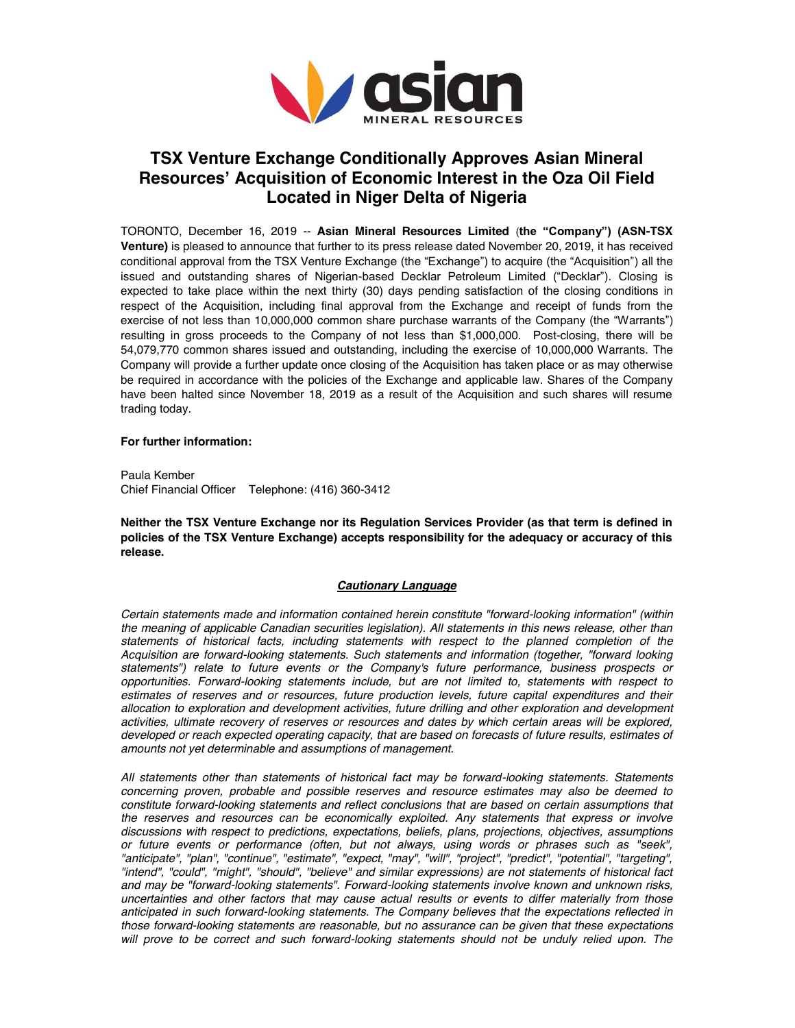

## **TSX Venture Exchange Conditionally Approves Asian Mineral Resources' Acquisition of Economic Interest in the Oza Oil Field Located in Niger Delta of Nigeria**

TORONTO, December 16, 2019 -- **Asian Mineral Resources Limited** (**the "Company") (ASN-TSX Venture)** is pleased to announce that further to its press release dated November 20, 2019, it has received conditional approval from the TSX Venture Exchange (the "Exchange") to acquire (the "Acquisition") all the issued and outstanding shares of Nigerian-based Decklar Petroleum Limited ("Decklar"). Closing is expected to take place within the next thirty (30) days pending satisfaction of the closing conditions in respect of the Acquisition, including final approval from the Exchange and receipt of funds from the exercise of not less than 10,000,000 common share purchase warrants of the Company (the "Warrants") resulting in gross proceeds to the Company of not less than \$1,000,000. Post-closing, there will be 54,079,770 common shares issued and outstanding, including the exercise of 10,000,000 Warrants. The Company will provide a further update once closing of the Acquisition has taken place or as may otherwise be required in accordance with the policies of the Exchange and applicable law. Shares of the Company have been halted since November 18, 2019 as a result of the Acquisition and such shares will resume trading today.

## **For further information:**

Paula Kember Chief Financial Officer Telephone: (416) 360-3412

**Neither the TSX Venture Exchange nor its Regulation Services Provider (as that term is defined in policies of the TSX Venture Exchange) accepts responsibility for the adequacy or accuracy of this release.** 

## *Cautionary Language*

*Certain statements made and information contained herein constitute "forward-looking information" (within the meaning of applicable Canadian securities legislation). All statements in this news release, other than statements of historical facts, including statements with respect to the planned completion of the Acquisition are forward-looking statements. Such statements and information (together, "forward looking statements") relate to future events or the Company's future performance, business prospects or opportunities. Forward-looking statements include, but are not limited to, statements with respect to estimates of reserves and or resources, future production levels, future capital expenditures and their allocation to exploration and development activities, future drilling and other exploration and development activities, ultimate recovery of reserves or resources and dates by which certain areas will be explored, developed or reach expected operating capacity, that are based on forecasts of future results, estimates of amounts not yet determinable and assumptions of management.*

*All statements other than statements of historical fact may be forward-looking statements. Statements concerning proven, probable and possible reserves and resource estimates may also be deemed to constitute forward-looking statements and reflect conclusions that are based on certain assumptions that the reserves and resources can be economically exploited. Any statements that express or involve discussions with respect to predictions, expectations, beliefs, plans, projections, objectives, assumptions or future events or performance (often, but not always, using words or phrases such as "seek", "anticipate", "plan", "continue", "estimate", "expect, "may", "will", "project", "predict", "potential", "targeting", "intend", "could", "might", "should", "believe" and similar expressions) are not statements of historical fact and may be "forward-looking statements". Forward-looking statements involve known and unknown risks, uncertainties and other factors that may cause actual results or events to differ materially from those anticipated in such forward-looking statements. The Company believes that the expectations reflected in those forward-looking statements are reasonable, but no assurance can be given that these expectations*  will prove to be correct and such forward-looking statements should not be unduly relied upon. The